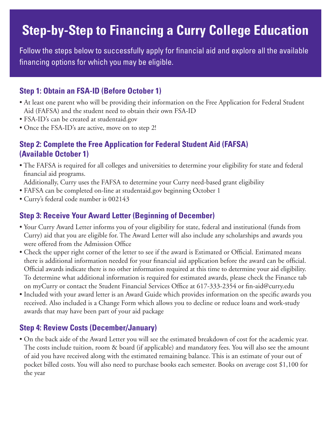# **Step-by-Step to Financing a Curry College Education**

Follow the steps below to successfully apply for financial aid and explore all the available financing options for which you may be eligible.

#### **Step 1: Obtain an FSA-ID (Before October 1)**

- At least one parent who will be providing their information on the Free Application for Federal Student Aid (FAFSA) and the student need to obtain their own FSA-ID
- FSA-ID's can be created at studentaid.gov
- Once the FSA-ID's are active, move on to step 2!

#### **Step 2: Complete the Free Application for Federal Student Aid (FAFSA) (Available October 1)**

• The FAFSA is required for all colleges and universities to determine your eligibility for state and federal financial aid programs.

Additionally, Curry uses the FAFSA to determine your Curry need-based grant eligibility

- FAFSA can be completed on-line at studentaid.gov beginning October 1
- Curry's federal code number is 002143

#### **Step 3: Receive Your Award Letter (Beginning of December)**

- Your Curry Award Letter informs you of your eligibility for state, federal and institutional (funds from Curry) aid that you are eligible for. The Award Letter will also include any scholarships and awards you were offered from the Admission Office
- Check the upper right corner of the letter to see if the award is Estimated or Official. Estimated means there is additional information needed for your financial aid application before the award can be official. Official awards indicate there is no other information required at this time to determine your aid eligibility. To determine what additional information is required for estimated awards, please check the Finance tab on myCurry or contact the Student Financial Services Office at 617-333-2354 or fin-aid@curry.edu
- Included with your award letter is an Award Guide which provides information on the specific awards you received. Also included is a Change Form which allows you to decline or reduce loans and work-study awards that may have been part of your aid package

#### **Step 4: Review Costs (December/January)**

• On the back aide of the Award Letter you will see the estimated breakdown of cost for the academic year. The costs include tuition, room & board (if applicable) and mandatory fees. You will also see the amount of aid you have received along with the estimated remaining balance. This is an estimate of your out of pocket billed costs. You will also need to purchase books each semester. Books on average cost \$1,100 for the year